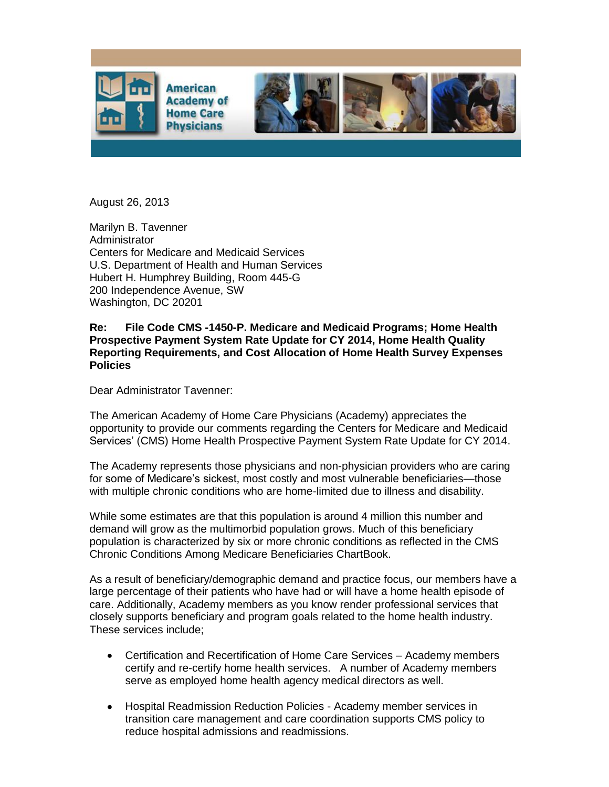

August 26, 2013

Marilyn B. Tavenner **Administrator** Centers for Medicare and Medicaid Services U.S. Department of Health and Human Services Hubert H. Humphrey Building, Room 445-G 200 Independence Avenue, SW Washington, DC 20201

## **Re: File Code CMS -1450-P. Medicare and Medicaid Programs; Home Health Prospective Payment System Rate Update for CY 2014, Home Health Quality Reporting Requirements, and Cost Allocation of Home Health Survey Expenses Policies**

Dear Administrator Tavenner:

The American Academy of Home Care Physicians (Academy) appreciates the opportunity to provide our comments regarding the Centers for Medicare and Medicaid Services' (CMS) Home Health Prospective Payment System Rate Update for CY 2014.

The Academy represents those physicians and non-physician providers who are caring for some of Medicare's sickest, most costly and most vulnerable beneficiaries—those with multiple chronic conditions who are home-limited due to illness and disability.

While some estimates are that this population is around 4 million this number and demand will grow as the multimorbid population grows. Much of this beneficiary population is characterized by six or more chronic conditions as reflected in the CMS Chronic Conditions Among Medicare Beneficiaries ChartBook.

As a result of beneficiary/demographic demand and practice focus, our members have a large percentage of their patients who have had or will have a home health episode of care. Additionally, Academy members as you know render professional services that closely supports beneficiary and program goals related to the home health industry. These services include;

- Certification and Recertification of Home Care Services Academy members certify and re-certify home health services. A number of Academy members serve as employed home health agency medical directors as well.
- Hospital Readmission Reduction Policies Academy member services in transition care management and care coordination supports CMS policy to reduce hospital admissions and readmissions.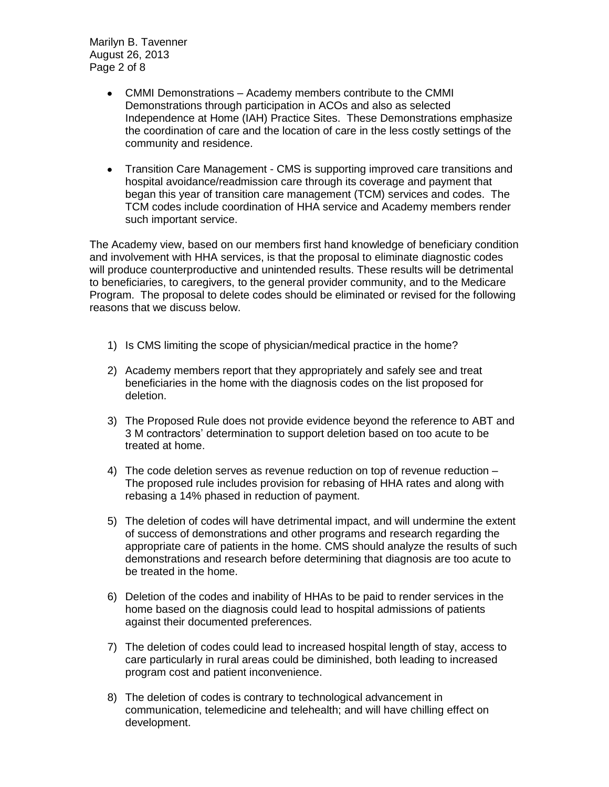Marilyn B. Tavenner August 26, 2013 Page 2 of 8

- CMMI Demonstrations Academy members contribute to the CMMI Demonstrations through participation in ACOs and also as selected Independence at Home (IAH) Practice Sites. These Demonstrations emphasize the coordination of care and the location of care in the less costly settings of the community and residence.
- Transition Care Management CMS is supporting improved care transitions and  $\bullet$ hospital avoidance/readmission care through its coverage and payment that began this year of transition care management (TCM) services and codes. The TCM codes include coordination of HHA service and Academy members render such important service.

The Academy view, based on our members first hand knowledge of beneficiary condition and involvement with HHA services, is that the proposal to eliminate diagnostic codes will produce counterproductive and unintended results. These results will be detrimental to beneficiaries, to caregivers, to the general provider community, and to the Medicare Program. The proposal to delete codes should be eliminated or revised for the following reasons that we discuss below.

- 1) Is CMS limiting the scope of physician/medical practice in the home?
- 2) Academy members report that they appropriately and safely see and treat beneficiaries in the home with the diagnosis codes on the list proposed for deletion.
- 3) The Proposed Rule does not provide evidence beyond the reference to ABT and 3 M contractors' determination to support deletion based on too acute to be treated at home.
- 4) The code deletion serves as revenue reduction on top of revenue reduction The proposed rule includes provision for rebasing of HHA rates and along with rebasing a 14% phased in reduction of payment.
- 5) The deletion of codes will have detrimental impact, and will undermine the extent of success of demonstrations and other programs and research regarding the appropriate care of patients in the home. CMS should analyze the results of such demonstrations and research before determining that diagnosis are too acute to be treated in the home.
- 6) Deletion of the codes and inability of HHAs to be paid to render services in the home based on the diagnosis could lead to hospital admissions of patients against their documented preferences.
- 7) The deletion of codes could lead to increased hospital length of stay, access to care particularly in rural areas could be diminished, both leading to increased program cost and patient inconvenience.
- 8) The deletion of codes is contrary to technological advancement in communication, telemedicine and telehealth; and will have chilling effect on development.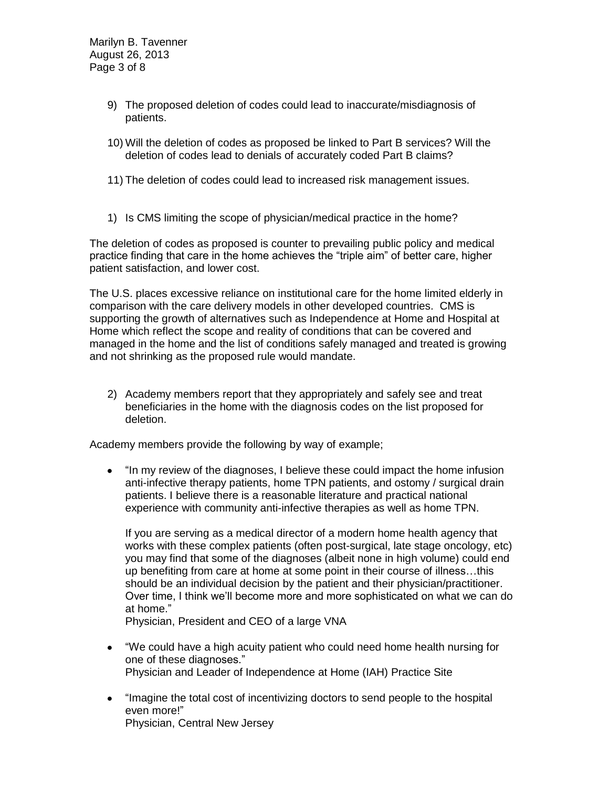Marilyn B. Tavenner August 26, 2013 Page 3 of 8

- 9) The proposed deletion of codes could lead to inaccurate/misdiagnosis of patients.
- 10) Will the deletion of codes as proposed be linked to Part B services? Will the deletion of codes lead to denials of accurately coded Part B claims?
- 11) The deletion of codes could lead to increased risk management issues.
- 1) Is CMS limiting the scope of physician/medical practice in the home?

The deletion of codes as proposed is counter to prevailing public policy and medical practice finding that care in the home achieves the "triple aim" of better care, higher patient satisfaction, and lower cost.

The U.S. places excessive reliance on institutional care for the home limited elderly in comparison with the care delivery models in other developed countries. CMS is supporting the growth of alternatives such as Independence at Home and Hospital at Home which reflect the scope and reality of conditions that can be covered and managed in the home and the list of conditions safely managed and treated is growing and not shrinking as the proposed rule would mandate.

2) Academy members report that they appropriately and safely see and treat beneficiaries in the home with the diagnosis codes on the list proposed for deletion.

Academy members provide the following by way of example;

"In my review of the diagnoses, I believe these could impact the home infusion  $\bullet$ anti-infective therapy patients, home TPN patients, and ostomy / surgical drain patients. I believe there is a reasonable literature and practical national experience with community anti-infective therapies as well as home TPN.

If you are serving as a medical director of a modern home health agency that works with these complex patients (often post-surgical, late stage oncology, etc) you may find that some of the diagnoses (albeit none in high volume) could end up benefiting from care at home at some point in their course of illness…this should be an individual decision by the patient and their physician/practitioner. Over time, I think we'll become more and more sophisticated on what we can do at home."

Physician, President and CEO of a large VNA

- "We could have a high acuity patient who could need home health nursing for one of these diagnoses." Physician and Leader of Independence at Home (IAH) Practice Site
- $\bullet$ "Imagine the total cost of incentivizing doctors to send people to the hospital even more!" Physician, Central New Jersey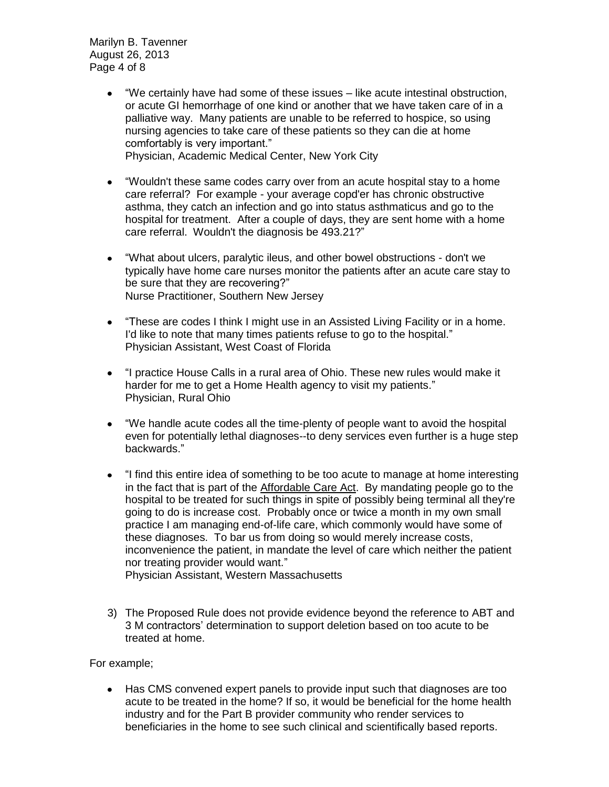Marilyn B. Tavenner August 26, 2013 Page 4 of 8

- "We certainly have had some of these issues like acute intestinal obstruction,  $\bullet$ or acute GI hemorrhage of one kind or another that we have taken care of in a palliative way. Many patients are unable to be referred to hospice, so using nursing agencies to take care of these patients so they can die at home comfortably is very important." Physician, Academic Medical Center, New York City
- "Wouldn't these same codes carry over from an acute hospital stay to a home care referral? For example - your average copd'er has chronic obstructive asthma, they catch an infection and go into status asthmaticus and go to the hospital for treatment. After a couple of days, they are sent home with a home care referral. Wouldn't the diagnosis be 493.21?"
- "What about ulcers, paralytic ileus, and other bowel obstructions don't we  $\bullet$ typically have home care nurses monitor the patients after an acute care stay to be sure that they are recovering?" Nurse Practitioner, Southern New Jersey
- "These are codes I think I might use in an Assisted Living Facility or in a home. I'd like to note that many times patients refuse to go to the hospital." Physician Assistant, West Coast of Florida
- "I practice House Calls in a rural area of Ohio. These new rules would make it harder for me to get a Home Health agency to visit my patients." Physician, Rural Ohio
- $\bullet$ "We handle acute codes all the time-plenty of people want to avoid the hospital even for potentially lethal diagnoses--to deny services even further is a huge step backwards."
- "I find this entire idea of something to be too acute to manage at home interesting in the fact that is part of the Affordable Care Act. By mandating people go to the hospital to be treated for such things in spite of possibly being terminal all they're going to do is increase cost. Probably once or twice a month in my own small practice I am managing end-of-life care, which commonly would have some of these diagnoses. To bar us from doing so would merely increase costs, inconvenience the patient, in mandate the level of care which neither the patient nor treating provider would want."

Physician Assistant, Western Massachusetts

3) The Proposed Rule does not provide evidence beyond the reference to ABT and 3 M contractors' determination to support deletion based on too acute to be treated at home.

For example;

Has CMS convened expert panels to provide input such that diagnoses are too acute to be treated in the home? If so, it would be beneficial for the home health industry and for the Part B provider community who render services to beneficiaries in the home to see such clinical and scientifically based reports.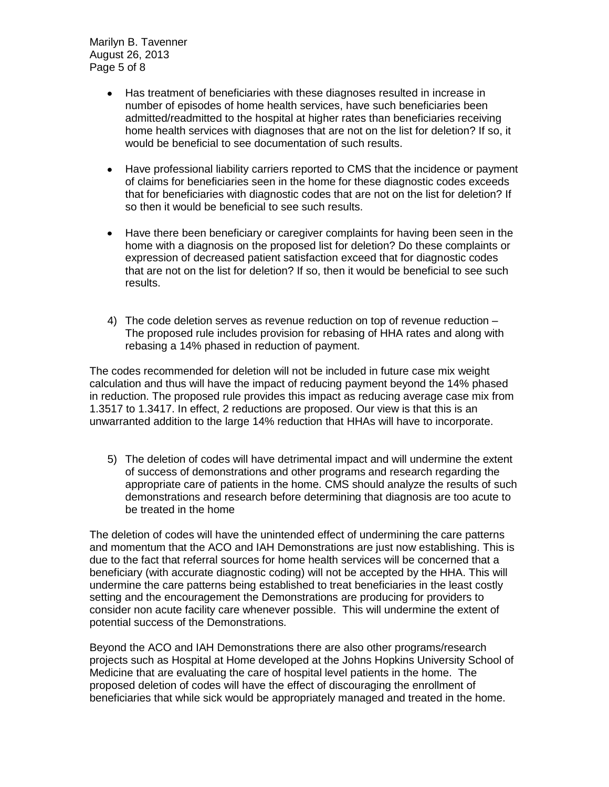Marilyn B. Tavenner August 26, 2013 Page 5 of 8

- Has treatment of beneficiaries with these diagnoses resulted in increase in  $\bullet$ number of episodes of home health services, have such beneficiaries been admitted/readmitted to the hospital at higher rates than beneficiaries receiving home health services with diagnoses that are not on the list for deletion? If so, it would be beneficial to see documentation of such results.
- Have professional liability carriers reported to CMS that the incidence or payment  $\bullet$ of claims for beneficiaries seen in the home for these diagnostic codes exceeds that for beneficiaries with diagnostic codes that are not on the list for deletion? If so then it would be beneficial to see such results.
- Have there been beneficiary or caregiver complaints for having been seen in the  $\bullet$ home with a diagnosis on the proposed list for deletion? Do these complaints or expression of decreased patient satisfaction exceed that for diagnostic codes that are not on the list for deletion? If so, then it would be beneficial to see such results.
- 4) The code deletion serves as revenue reduction on top of revenue reduction The proposed rule includes provision for rebasing of HHA rates and along with rebasing a 14% phased in reduction of payment.

The codes recommended for deletion will not be included in future case mix weight calculation and thus will have the impact of reducing payment beyond the 14% phased in reduction. The proposed rule provides this impact as reducing average case mix from 1.3517 to 1.3417. In effect, 2 reductions are proposed. Our view is that this is an unwarranted addition to the large 14% reduction that HHAs will have to incorporate.

5) The deletion of codes will have detrimental impact and will undermine the extent of success of demonstrations and other programs and research regarding the appropriate care of patients in the home. CMS should analyze the results of such demonstrations and research before determining that diagnosis are too acute to be treated in the home

The deletion of codes will have the unintended effect of undermining the care patterns and momentum that the ACO and IAH Demonstrations are just now establishing. This is due to the fact that referral sources for home health services will be concerned that a beneficiary (with accurate diagnostic coding) will not be accepted by the HHA. This will undermine the care patterns being established to treat beneficiaries in the least costly setting and the encouragement the Demonstrations are producing for providers to consider non acute facility care whenever possible. This will undermine the extent of potential success of the Demonstrations.

Beyond the ACO and IAH Demonstrations there are also other programs/research projects such as Hospital at Home developed at the Johns Hopkins University School of Medicine that are evaluating the care of hospital level patients in the home. The proposed deletion of codes will have the effect of discouraging the enrollment of beneficiaries that while sick would be appropriately managed and treated in the home.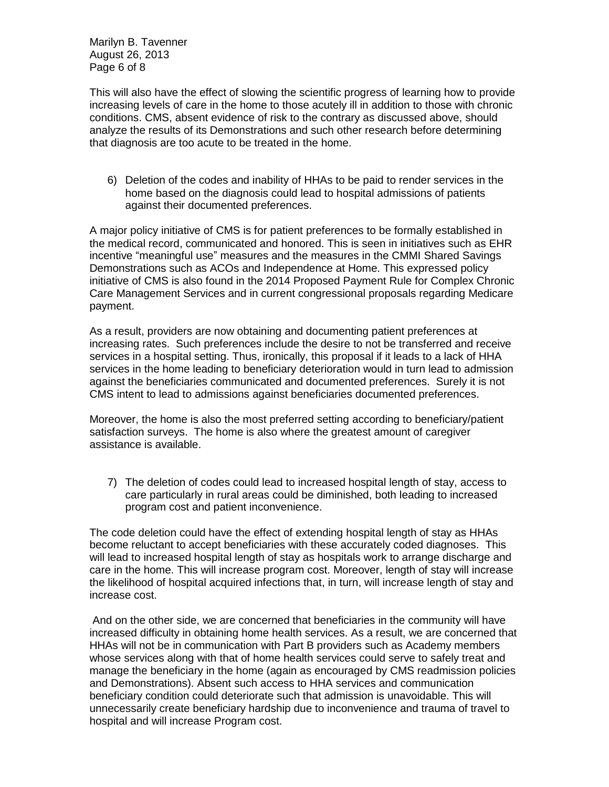Marilyn B. Tavenner August 26, 2013 Page 6 of 8

This will also have the effect of slowing the scientific progress of learning how to provide increasing levels of care in the home to those acutely ill in addition to those with chronic conditions. CMS, absent evidence of risk to the contrary as discussed above, should analyze the results of its Demonstrations and such other research before determining that diagnosis are too acute to be treated in the home.

6) Deletion of the codes and inability of HHAs to be paid to render services in the home based on the diagnosis could lead to hospital admissions of patients against their documented preferences.

A major policy initiative of CMS is for patient preferences to be formally established in the medical record, communicated and honored. This is seen in initiatives such as EHR incentive "meaningful use" measures and the measures in the CMMI Shared Savings Demonstrations such as ACOs and Independence at Home. This expressed policy initiative of CMS is also found in the 2014 Proposed Payment Rule for Complex Chronic Care Management Services and in current congressional proposals regarding Medicare payment.

As a result, providers are now obtaining and documenting patient preferences at increasing rates. Such preferences include the desire to not be transferred and receive services in a hospital setting. Thus, ironically, this proposal if it leads to a lack of HHA services in the home leading to beneficiary deterioration would in turn lead to admission against the beneficiaries communicated and documented preferences. Surely it is not CMS intent to lead to admissions against beneficiaries documented preferences.

Moreover, the home is also the most preferred setting according to beneficiary/patient satisfaction surveys. The home is also where the greatest amount of caregiver assistance is available.

7) The deletion of codes could lead to increased hospital length of stay, access to care particularly in rural areas could be diminished, both leading to increased program cost and patient inconvenience.

The code deletion could have the effect of extending hospital length of stay as HHAs become reluctant to accept beneficiaries with these accurately coded diagnoses. This will lead to increased hospital length of stay as hospitals work to arrange discharge and care in the home. This will increase program cost. Moreover, length of stay will increase the likelihood of hospital acquired infections that, in turn, will increase length of stay and increase cost.

And on the other side, we are concerned that beneficiaries in the community will have increased difficulty in obtaining home health services. As a result, we are concerned that HHAs will not be in communication with Part B providers such as Academy members whose services along with that of home health services could serve to safely treat and manage the beneficiary in the home (again as encouraged by CMS readmission policies and Demonstrations). Absent such access to HHA services and communication beneficiary condition could deteriorate such that admission is unavoidable. This will unnecessarily create beneficiary hardship due to inconvenience and trauma of travel to hospital and will increase Program cost.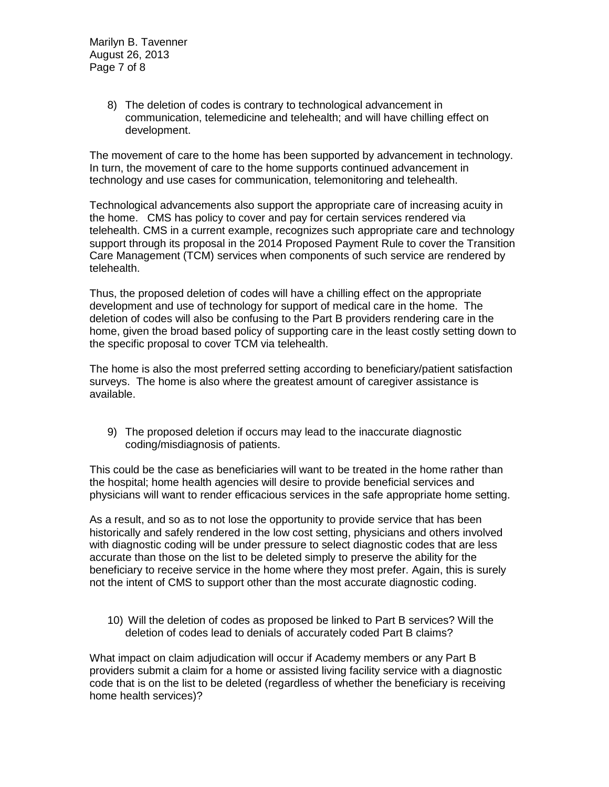Marilyn B. Tavenner August 26, 2013 Page 7 of 8

> 8) The deletion of codes is contrary to technological advancement in communication, telemedicine and telehealth; and will have chilling effect on development.

The movement of care to the home has been supported by advancement in technology. In turn, the movement of care to the home supports continued advancement in technology and use cases for communication, telemonitoring and telehealth.

Technological advancements also support the appropriate care of increasing acuity in the home. CMS has policy to cover and pay for certain services rendered via telehealth. CMS in a current example, recognizes such appropriate care and technology support through its proposal in the 2014 Proposed Payment Rule to cover the Transition Care Management (TCM) services when components of such service are rendered by telehealth.

Thus, the proposed deletion of codes will have a chilling effect on the appropriate development and use of technology for support of medical care in the home. The deletion of codes will also be confusing to the Part B providers rendering care in the home, given the broad based policy of supporting care in the least costly setting down to the specific proposal to cover TCM via telehealth.

The home is also the most preferred setting according to beneficiary/patient satisfaction surveys. The home is also where the greatest amount of caregiver assistance is available.

9) The proposed deletion if occurs may lead to the inaccurate diagnostic coding/misdiagnosis of patients.

This could be the case as beneficiaries will want to be treated in the home rather than the hospital; home health agencies will desire to provide beneficial services and physicians will want to render efficacious services in the safe appropriate home setting.

As a result, and so as to not lose the opportunity to provide service that has been historically and safely rendered in the low cost setting, physicians and others involved with diagnostic coding will be under pressure to select diagnostic codes that are less accurate than those on the list to be deleted simply to preserve the ability for the beneficiary to receive service in the home where they most prefer. Again, this is surely not the intent of CMS to support other than the most accurate diagnostic coding.

10) Will the deletion of codes as proposed be linked to Part B services? Will the deletion of codes lead to denials of accurately coded Part B claims?

What impact on claim adjudication will occur if Academy members or any Part B providers submit a claim for a home or assisted living facility service with a diagnostic code that is on the list to be deleted (regardless of whether the beneficiary is receiving home health services)?